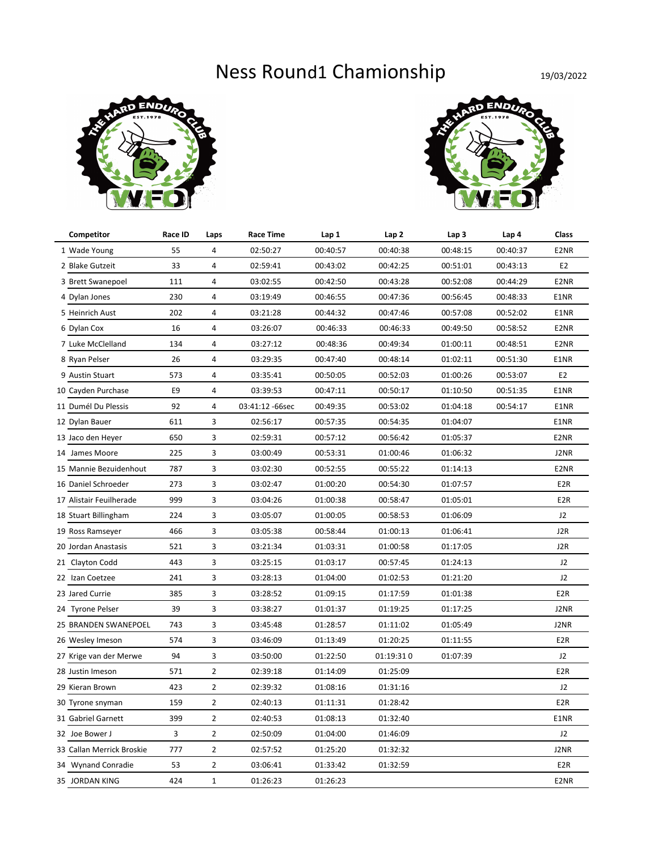## Ness Round1 Chamionship 19/03/2022





| Competitor                | Race ID | Laps           | <b>Race Time</b> | Lap 1    | Lap <sub>2</sub> | Lap <sub>3</sub> | Lap 4    | Class            |
|---------------------------|---------|----------------|------------------|----------|------------------|------------------|----------|------------------|
| 1 Wade Young              | 55      | 4              | 02:50:27         | 00:40:57 | 00:40:38         | 00:48:15         | 00:40:37 | E2NR             |
| 2 Blake Gutzeit           | 33      | 4              | 02:59:41         | 00:43:02 | 00:42:25         | 00:51:01         | 00:43:13 | E <sub>2</sub>   |
| 3 Brett Swanepoel         | 111     | 4              | 03:02:55         | 00:42:50 | 00:43:28         | 00:52:08         | 00:44:29 | E2NR             |
| 4 Dylan Jones             | 230     | 4              | 03:19:49         | 00:46:55 | 00:47:36         | 00:56:45         | 00:48:33 | E1NR             |
| 5 Heinrich Aust           | 202     | 4              | 03:21:28         | 00:44:32 | 00:47:46         | 00:57:08         | 00:52:02 | E1NR             |
| 6 Dylan Cox               | 16      | 4              | 03:26:07         | 00:46:33 | 00:46:33         | 00:49:50         | 00:58:52 | E2NR             |
| 7 Luke McClelland         | 134     | 4              | 03:27:12         | 00:48:36 | 00:49:34         | 01:00:11         | 00:48:51 | E2NR             |
| 8 Ryan Pelser             | 26      | 4              | 03:29:35         | 00:47:40 | 00:48:14         | 01:02:11         | 00:51:30 | E1NR             |
| 9 Austin Stuart           | 573     | 4              | 03:35:41         | 00:50:05 | 00:52:03         | 01:00:26         | 00:53:07 | E <sub>2</sub>   |
| 10 Cayden Purchase        | E9      | 4              | 03:39:53         | 00:47:11 | 00:50:17         | 01:10:50         | 00:51:35 | E1NR             |
| 11 Dumél Du Plessis       | 92      | 4              | 03:41:12 -66sec  | 00:49:35 | 00:53:02         | 01:04:18         | 00:54:17 | E1NR             |
| 12 Dylan Bauer            | 611     | 3              | 02:56:17         | 00:57:35 | 00:54:35         | 01:04:07         |          | E1NR             |
| 13 Jaco den Heyer         | 650     | 3              | 02:59:31         | 00:57:12 | 00:56:42         | 01:05:37         |          | E2NR             |
| 14 James Moore            | 225     | 3              | 03:00:49         | 00:53:31 | 01:00:46         | 01:06:32         |          | J2NR             |
| 15 Mannie Bezuidenhout    | 787     | 3              | 03:02:30         | 00:52:55 | 00:55:22         | 01:14:13         |          | E2NR             |
| 16 Daniel Schroeder       | 273     | 3              | 03:02:47         | 01:00:20 | 00:54:30         | 01:07:57         |          | E <sub>2R</sub>  |
| 17 Alistair Feuilherade   | 999     | 3              | 03:04:26         | 01:00:38 | 00:58:47         | 01:05:01         |          | E <sub>2</sub> R |
| 18 Stuart Billingham      | 224     | 3              | 03:05:07         | 01:00:05 | 00:58:53         | 01:06:09         |          | J2               |
| 19 Ross Ramseyer          | 466     | 3              | 03:05:38         | 00:58:44 | 01:00:13         | 01:06:41         |          | J2R              |
| 20 Jordan Anastasis       | 521     | 3              | 03:21:34         | 01:03:31 | 01:00:58         | 01:17:05         |          | J2R              |
| 21 Clayton Codd           | 443     | 3              | 03:25:15         | 01:03:17 | 00:57:45         | 01:24:13         |          | J <sub>2</sub>   |
| 22 Izan Coetzee           | 241     | 3              | 03:28:13         | 01:04:00 | 01:02:53         | 01:21:20         |          | J2               |
| 23 Jared Currie           | 385     | 3              | 03:28:52         | 01:09:15 | 01:17:59         | 01:01:38         |          | E <sub>2R</sub>  |
| 24 Tyrone Pelser          | 39      | 3              | 03:38:27         | 01:01:37 | 01:19:25         | 01:17:25         |          | J2NR             |
| 25 BRANDEN SWANEPOEL      | 743     | 3              | 03:45:48         | 01:28:57 | 01:11:02         | 01:05:49         |          | J2NR             |
| 26 Wesley Imeson          | 574     | 3              | 03:46:09         | 01:13:49 | 01:20:25         | 01:11:55         |          | E <sub>2R</sub>  |
| 27 Krige van der Merwe    | 94      | 3              | 03:50:00         | 01:22:50 | 01:19:310        | 01:07:39         |          | J2               |
| 28 Justin Imeson          | 571     | 2              | 02:39:18         | 01:14:09 | 01:25:09         |                  |          | E <sub>2R</sub>  |
| 29 Kieran Brown           | 423     | $\overline{2}$ | 02:39:32         | 01:08:16 | 01:31:16         |                  |          | J2               |
| 30 Tyrone snyman          | 159     | $\overline{2}$ | 02:40:13         | 01:11:31 | 01:28:42         |                  |          | E <sub>2R</sub>  |
| 31 Gabriel Garnett        | 399     | $\overline{2}$ | 02:40:53         | 01:08:13 | 01:32:40         |                  |          | E1NR             |
| 32 Joe Bower J            | 3       | $\overline{2}$ | 02:50:09         | 01:04:00 | 01:46:09         |                  |          | J2               |
| 33 Callan Merrick Broskie | 777     | $\overline{2}$ | 02:57:52         | 01:25:20 | 01:32:32         |                  |          | J2NR             |
| 34 Wynand Conradie        | 53      | $\overline{2}$ | 03:06:41         | 01:33:42 | 01:32:59         |                  |          | E <sub>2R</sub>  |
| 35 JORDAN KING            | 424     | $\mathbf{1}$   | 01:26:23         | 01:26:23 |                  |                  |          | E2NR             |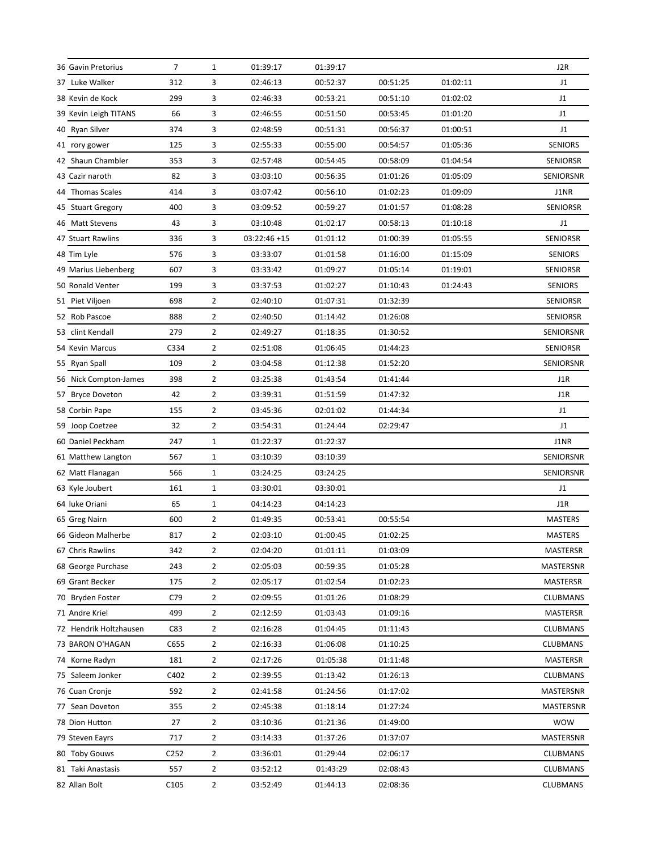| 36 Gavin Pretorius     | 7                | $\mathbf{1}$   | 01:39:17      | 01:39:17 |          |          | J2R              |
|------------------------|------------------|----------------|---------------|----------|----------|----------|------------------|
| 37 Luke Walker         | 312              | 3              | 02:46:13      | 00:52:37 | 00:51:25 | 01:02:11 | J1               |
| 38 Kevin de Kock       | 299              | 3              | 02:46:33      | 00:53:21 | 00:51:10 | 01:02:02 | J1               |
| 39 Kevin Leigh TITANS  | 66               | 3              | 02:46:55      | 00:51:50 | 00:53:45 | 01:01:20 | J1               |
| 40 Ryan Silver         | 374              | 3              | 02:48:59      | 00:51:31 | 00:56:37 | 01:00:51 | J1               |
| 41 rory gower          | 125              | 3              | 02:55:33      | 00:55:00 | 00:54:57 | 01:05:36 | <b>SENIORS</b>   |
| 42 Shaun Chambler      | 353              | 3              | 02:57:48      | 00:54:45 | 00:58:09 | 01:04:54 | <b>SENIORSR</b>  |
| 43 Cazir naroth        | 82               | 3              | 03:03:10      | 00:56:35 | 01:01:26 | 01:05:09 | SENIORSNR        |
| 44 Thomas Scales       | 414              | 3              | 03:07:42      | 00:56:10 | 01:02:23 | 01:09:09 | J1NR             |
| 45 Stuart Gregory      | 400              | 3              | 03:09:52      | 00:59:27 | 01:01:57 | 01:08:28 | <b>SENIORSR</b>  |
| 46 Matt Stevens        | 43               | 3              | 03:10:48      | 01:02:17 | 00:58:13 | 01:10:18 | J1               |
| 47 Stuart Rawlins      | 336              | 3              | $03:22:46+15$ | 01:01:12 | 01:00:39 | 01:05:55 | <b>SENIORSR</b>  |
| 48 Tim Lyle            | 576              | 3              | 03:33:07      | 01:01:58 | 01:16:00 | 01:15:09 | <b>SENIORS</b>   |
| 49 Marius Liebenberg   | 607              | 3              | 03:33:42      | 01:09:27 | 01:05:14 | 01:19:01 | <b>SENIORSR</b>  |
| 50 Ronald Venter       | 199              | 3              | 03:37:53      | 01:02:27 | 01:10:43 | 01:24:43 | <b>SENIORS</b>   |
| 51 Piet Viljoen        | 698              | $\overline{2}$ | 02:40:10      | 01:07:31 | 01:32:39 |          | <b>SENIORSR</b>  |
| 52 Rob Pascoe          | 888              | $\overline{2}$ | 02:40:50      | 01:14:42 | 01:26:08 |          | <b>SENIORSR</b>  |
| 53 clint Kendall       | 279              | $\overline{2}$ | 02:49:27      | 01:18:35 | 01:30:52 |          | SENIORSNR        |
| 54 Kevin Marcus        | C334             | $\overline{2}$ | 02:51:08      | 01:06:45 | 01:44:23 |          | <b>SENIORSR</b>  |
| 55 Ryan Spall          | 109              | $\overline{2}$ | 03:04:58      | 01:12:38 | 01:52:20 |          | SENIORSNR        |
| 56 Nick Compton-James  | 398              | $\overline{2}$ | 03:25:38      | 01:43:54 | 01:41:44 |          | J1R              |
| 57 Bryce Doveton       | 42               | $\overline{2}$ | 03:39:31      | 01:51:59 | 01:47:32 |          | J1R              |
| 58 Corbin Pape         | 155              | $\overline{2}$ | 03:45:36      | 02:01:02 | 01:44:34 |          | J1               |
| 59 Joop Coetzee        | 32               | $\overline{2}$ | 03:54:31      | 01:24:44 | 02:29:47 |          | J1               |
| 60 Daniel Peckham      | 247              | $\mathbf{1}$   | 01:22:37      | 01:22:37 |          |          | J1NR             |
| 61 Matthew Langton     | 567              | $\mathbf{1}$   | 03:10:39      | 03:10:39 |          |          | SENIORSNR        |
| 62 Matt Flanagan       | 566              | $\mathbf{1}$   | 03:24:25      | 03:24:25 |          |          | SENIORSNR        |
| 63 Kyle Joubert        | 161              | $1\,$          | 03:30:01      | 03:30:01 |          |          | J1               |
| 64 luke Oriani         | 65               | $1\,$          | 04:14:23      | 04:14:23 |          |          | J1R              |
| 65 Greg Nairn          | 600              | $\overline{2}$ | 01:49:35      | 00:53:41 | 00:55:54 |          | <b>MASTERS</b>   |
| 66 Gideon Malherbe     | 817              | $\overline{2}$ | 02:03:10      | 01:00:45 | 01:02:25 |          | <b>MASTERS</b>   |
| 67 Chris Rawlins       | 342              | $\overline{2}$ | 02:04:20      | 01:01:11 | 01:03:09 |          | <b>MASTERSR</b>  |
| 68 George Purchase     | 243              | $\overline{2}$ | 02:05:03      | 00:59:35 | 01:05:28 |          | <b>MASTERSNR</b> |
| 69 Grant Becker        | 175              | $\overline{2}$ | 02:05:17      | 01:02:54 | 01:02:23 |          | <b>MASTERSR</b>  |
| 70 Bryden Foster       | C79              | $\overline{2}$ | 02:09:55      | 01:01:26 | 01:08:29 |          | <b>CLUBMANS</b>  |
| 71 Andre Kriel         | 499              | $\overline{2}$ | 02:12:59      | 01:03:43 | 01:09:16 |          | <b>MASTERSR</b>  |
| 72 Hendrik Holtzhausen | C83              | $\overline{2}$ | 02:16:28      | 01:04:45 | 01:11:43 |          | <b>CLUBMANS</b>  |
| 73 BARON O'HAGAN       | C655             | $\overline{2}$ | 02:16:33      | 01:06:08 | 01:10:25 |          | CLUBMANS         |
| 74 Korne Radyn         | 181              | $\overline{2}$ | 02:17:26      | 01:05:38 | 01:11:48 |          | <b>MASTERSR</b>  |
| 75 Saleem Jonker       | C402             | $\overline{2}$ | 02:39:55      | 01:13:42 | 01:26:13 |          | <b>CLUBMANS</b>  |
| 76 Cuan Cronje         | 592              | $\overline{2}$ | 02:41:58      | 01:24:56 | 01:17:02 |          | MASTERSNR        |
| 77 Sean Doveton        | 355              | $\overline{2}$ | 02:45:38      | 01:18:14 | 01:27:24 |          | MASTERSNR        |
| 78 Dion Hutton         | 27               | $\overline{2}$ | 03:10:36      | 01:21:36 | 01:49:00 |          | <b>WOW</b>       |
| 79 Steven Eayrs        | 717              | $\overline{2}$ | 03:14:33      | 01:37:26 | 01:37:07 |          | MASTERSNR        |
| 80 Toby Gouws          | C252             | $\overline{2}$ | 03:36:01      | 01:29:44 | 02:06:17 |          | <b>CLUBMANS</b>  |
| 81 Taki Anastasis      | 557              | $\overline{2}$ | 03:52:12      | 01:43:29 | 02:08:43 |          | CLUBMANS         |
| 82 Allan Bolt          | C <sub>105</sub> | $\overline{2}$ | 03:52:49      | 01:44:13 | 02:08:36 |          | <b>CLUBMANS</b>  |